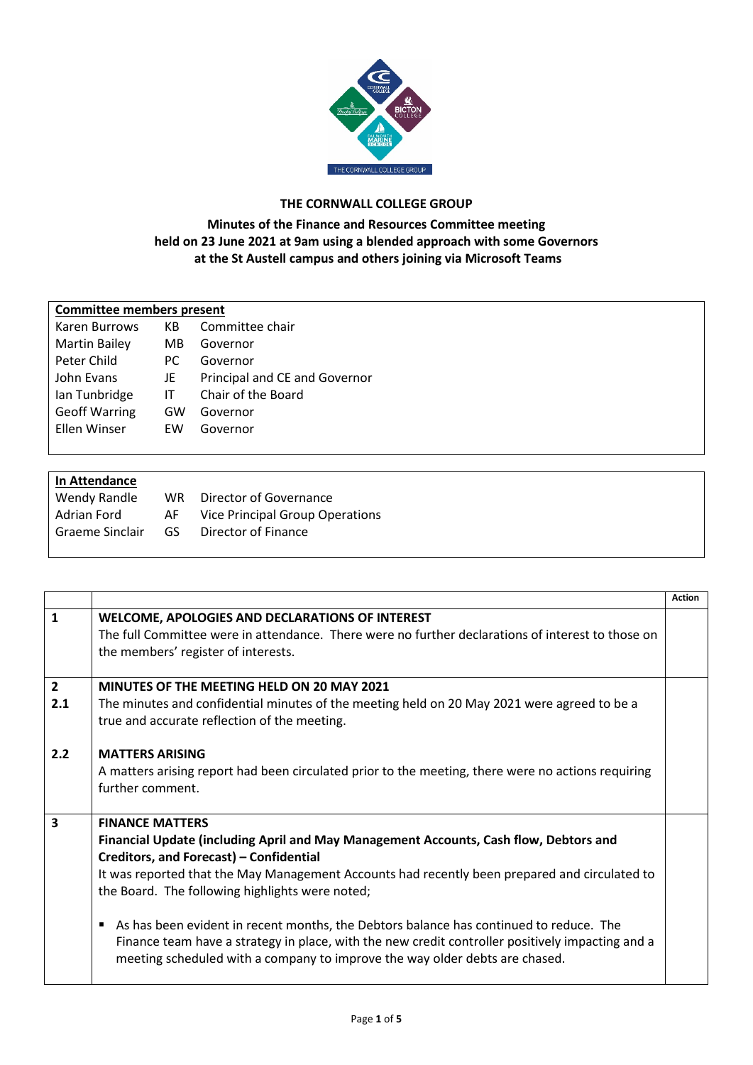

## **THE CORNWALL COLLEGE GROUP**

## **Minutes of the Finance and Resources Committee meeting held on 23 June 2021 at 9am using a blended approach with some Governors at the St Austell campus and others joining via Microsoft Teams**

| <b>Committee members present</b> |     |                               |  |  |
|----------------------------------|-----|-------------------------------|--|--|
| Karen Burrows                    | КB  | Committee chair               |  |  |
| <b>Martin Bailey</b>             | MВ  | Governor                      |  |  |
| Peter Child                      | PC. | Governor                      |  |  |
| John Evans                       | JE  | Principal and CE and Governor |  |  |
| Ian Tunbridge                    | IT  | Chair of the Board            |  |  |
| <b>Geoff Warring</b>             | GW  | Governor                      |  |  |
| Ellen Winser                     | FW  | Governor                      |  |  |
|                                  |     |                               |  |  |

| In Attendance   |     |                                        |
|-----------------|-----|----------------------------------------|
| Wendy Randle    | WR. | Director of Governance                 |
| Adrian Ford     | AF  | <b>Vice Principal Group Operations</b> |
| Graeme Sinclair | GS  | Director of Finance                    |
|                 |     |                                        |

|                         |                                                                                                                                                                                                                                                                                                                                                                                                                                                                                                                                                                                                  | <b>Action</b> |
|-------------------------|--------------------------------------------------------------------------------------------------------------------------------------------------------------------------------------------------------------------------------------------------------------------------------------------------------------------------------------------------------------------------------------------------------------------------------------------------------------------------------------------------------------------------------------------------------------------------------------------------|---------------|
| $\mathbf{1}$            | WELCOME, APOLOGIES AND DECLARATIONS OF INTEREST<br>The full Committee were in attendance. There were no further declarations of interest to those on<br>the members' register of interests.                                                                                                                                                                                                                                                                                                                                                                                                      |               |
| $\overline{2}$<br>2.1   | <b>MINUTES OF THE MEETING HELD ON 20 MAY 2021</b><br>The minutes and confidential minutes of the meeting held on 20 May 2021 were agreed to be a<br>true and accurate reflection of the meeting.                                                                                                                                                                                                                                                                                                                                                                                                 |               |
| 2.2                     | <b>MATTERS ARISING</b><br>A matters arising report had been circulated prior to the meeting, there were no actions requiring<br>further comment.                                                                                                                                                                                                                                                                                                                                                                                                                                                 |               |
| $\overline{\mathbf{3}}$ | <b>FINANCE MATTERS</b><br>Financial Update (including April and May Management Accounts, Cash flow, Debtors and<br>Creditors, and Forecast) - Confidential<br>It was reported that the May Management Accounts had recently been prepared and circulated to<br>the Board. The following highlights were noted;<br>As has been evident in recent months, the Debtors balance has continued to reduce. The<br>٠<br>Finance team have a strategy in place, with the new credit controller positively impacting and a<br>meeting scheduled with a company to improve the way older debts are chased. |               |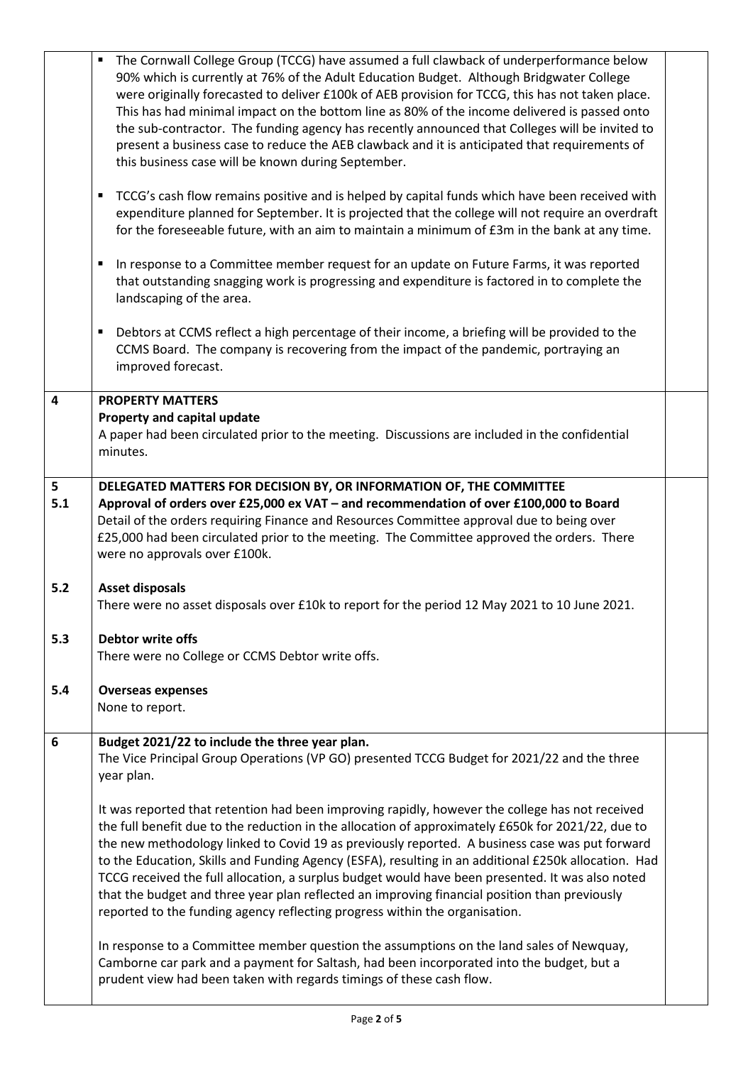|     | The Cornwall College Group (TCCG) have assumed a full clawback of underperformance below<br>90% which is currently at 76% of the Adult Education Budget. Although Bridgwater College<br>were originally forecasted to deliver £100k of AEB provision for TCCG, this has not taken place.<br>This has had minimal impact on the bottom line as 80% of the income delivered is passed onto<br>the sub-contractor. The funding agency has recently announced that Colleges will be invited to<br>present a business case to reduce the AEB clawback and it is anticipated that requirements of<br>this business case will be known during September.<br>TCCG's cash flow remains positive and is helped by capital funds which have been received with<br>٠<br>expenditure planned for September. It is projected that the college will not require an overdraft<br>for the foreseeable future, with an aim to maintain a minimum of £3m in the bank at any time.<br>In response to a Committee member request for an update on Future Farms, it was reported<br>٠<br>that outstanding snagging work is progressing and expenditure is factored in to complete the<br>landscaping of the area.<br>Debtors at CCMS reflect a high percentage of their income, a briefing will be provided to the<br>٠<br>CCMS Board. The company is recovering from the impact of the pandemic, portraying an<br>improved forecast. |  |
|-----|-----------------------------------------------------------------------------------------------------------------------------------------------------------------------------------------------------------------------------------------------------------------------------------------------------------------------------------------------------------------------------------------------------------------------------------------------------------------------------------------------------------------------------------------------------------------------------------------------------------------------------------------------------------------------------------------------------------------------------------------------------------------------------------------------------------------------------------------------------------------------------------------------------------------------------------------------------------------------------------------------------------------------------------------------------------------------------------------------------------------------------------------------------------------------------------------------------------------------------------------------------------------------------------------------------------------------------------------------------------------------------------------------------------------|--|
| 4   | <b>PROPERTY MATTERS</b>                                                                                                                                                                                                                                                                                                                                                                                                                                                                                                                                                                                                                                                                                                                                                                                                                                                                                                                                                                                                                                                                                                                                                                                                                                                                                                                                                                                         |  |
|     | Property and capital update<br>A paper had been circulated prior to the meeting. Discussions are included in the confidential<br>minutes.                                                                                                                                                                                                                                                                                                                                                                                                                                                                                                                                                                                                                                                                                                                                                                                                                                                                                                                                                                                                                                                                                                                                                                                                                                                                       |  |
| 5   | DELEGATED MATTERS FOR DECISION BY, OR INFORMATION OF, THE COMMITTEE                                                                                                                                                                                                                                                                                                                                                                                                                                                                                                                                                                                                                                                                                                                                                                                                                                                                                                                                                                                                                                                                                                                                                                                                                                                                                                                                             |  |
| 5.1 | Approval of orders over £25,000 ex VAT - and recommendation of over £100,000 to Board<br>Detail of the orders requiring Finance and Resources Committee approval due to being over<br>£25,000 had been circulated prior to the meeting. The Committee approved the orders. There<br>were no approvals over £100k.                                                                                                                                                                                                                                                                                                                                                                                                                                                                                                                                                                                                                                                                                                                                                                                                                                                                                                                                                                                                                                                                                               |  |
| 5.2 | <b>Asset disposals</b><br>There were no asset disposals over £10k to report for the period 12 May 2021 to 10 June 2021.                                                                                                                                                                                                                                                                                                                                                                                                                                                                                                                                                                                                                                                                                                                                                                                                                                                                                                                                                                                                                                                                                                                                                                                                                                                                                         |  |
| 5.3 | Debtor write offs<br>There were no College or CCMS Debtor write offs.                                                                                                                                                                                                                                                                                                                                                                                                                                                                                                                                                                                                                                                                                                                                                                                                                                                                                                                                                                                                                                                                                                                                                                                                                                                                                                                                           |  |
| 5.4 | <b>Overseas expenses</b><br>None to report.                                                                                                                                                                                                                                                                                                                                                                                                                                                                                                                                                                                                                                                                                                                                                                                                                                                                                                                                                                                                                                                                                                                                                                                                                                                                                                                                                                     |  |
| 6   | Budget 2021/22 to include the three year plan.<br>The Vice Principal Group Operations (VP GO) presented TCCG Budget for 2021/22 and the three<br>year plan.                                                                                                                                                                                                                                                                                                                                                                                                                                                                                                                                                                                                                                                                                                                                                                                                                                                                                                                                                                                                                                                                                                                                                                                                                                                     |  |
|     | It was reported that retention had been improving rapidly, however the college has not received<br>the full benefit due to the reduction in the allocation of approximately £650k for 2021/22, due to<br>the new methodology linked to Covid 19 as previously reported. A business case was put forward<br>to the Education, Skills and Funding Agency (ESFA), resulting in an additional £250k allocation. Had<br>TCCG received the full allocation, a surplus budget would have been presented. It was also noted<br>that the budget and three year plan reflected an improving financial position than previously<br>reported to the funding agency reflecting progress within the organisation.                                                                                                                                                                                                                                                                                                                                                                                                                                                                                                                                                                                                                                                                                                             |  |
|     | In response to a Committee member question the assumptions on the land sales of Newquay,<br>Camborne car park and a payment for Saltash, had been incorporated into the budget, but a<br>prudent view had been taken with regards timings of these cash flow.                                                                                                                                                                                                                                                                                                                                                                                                                                                                                                                                                                                                                                                                                                                                                                                                                                                                                                                                                                                                                                                                                                                                                   |  |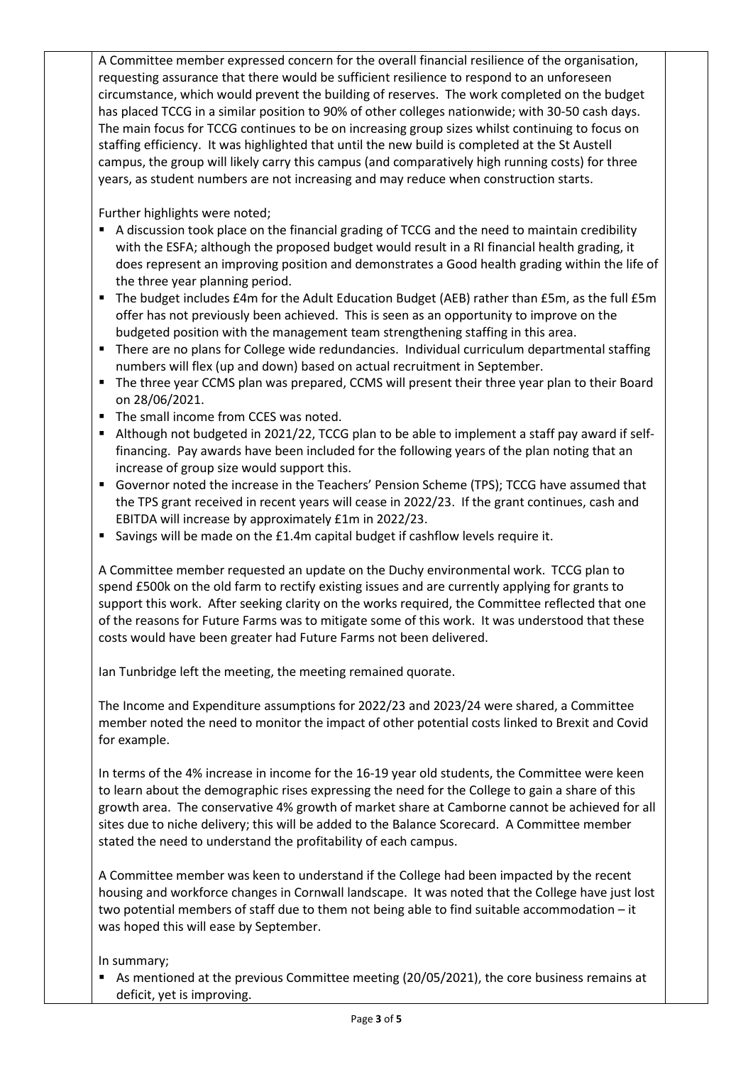A Committee member expressed concern for the overall financial resilience of the organisation, requesting assurance that there would be sufficient resilience to respond to an unforeseen circumstance, which would prevent the building of reserves. The work completed on the budget has placed TCCG in a similar position to 90% of other colleges nationwide; with 30-50 cash days. The main focus for TCCG continues to be on increasing group sizes whilst continuing to focus on staffing efficiency. It was highlighted that until the new build is completed at the St Austell campus, the group will likely carry this campus (and comparatively high running costs) for three years, as student numbers are not increasing and may reduce when construction starts.

Further highlights were noted;

- A discussion took place on the financial grading of TCCG and the need to maintain credibility with the ESFA; although the proposed budget would result in a RI financial health grading, it does represent an improving position and demonstrates a Good health grading within the life of the three year planning period.
- The budget includes £4m for the Adult Education Budget (AEB) rather than £5m, as the full £5m offer has not previously been achieved. This is seen as an opportunity to improve on the budgeted position with the management team strengthening staffing in this area.
- There are no plans for College wide redundancies. Individual curriculum departmental staffing numbers will flex (up and down) based on actual recruitment in September.
- The three year CCMS plan was prepared, CCMS will present their three year plan to their Board on 28/06/2021.
- The small income from CCES was noted.
- Although not budgeted in 2021/22, TCCG plan to be able to implement a staff pay award if selffinancing. Pay awards have been included for the following years of the plan noting that an increase of group size would support this.
- Governor noted the increase in the Teachers' Pension Scheme (TPS); TCCG have assumed that the TPS grant received in recent years will cease in 2022/23. If the grant continues, cash and EBITDA will increase by approximately £1m in 2022/23.
- Savings will be made on the £1.4m capital budget if cashflow levels require it.

A Committee member requested an update on the Duchy environmental work. TCCG plan to spend £500k on the old farm to rectify existing issues and are currently applying for grants to support this work. After seeking clarity on the works required, the Committee reflected that one of the reasons for Future Farms was to mitigate some of this work. It was understood that these costs would have been greater had Future Farms not been delivered.

Ian Tunbridge left the meeting, the meeting remained quorate.

The Income and Expenditure assumptions for 2022/23 and 2023/24 were shared, a Committee member noted the need to monitor the impact of other potential costs linked to Brexit and Covid for example.

In terms of the 4% increase in income for the 16-19 year old students, the Committee were keen to learn about the demographic rises expressing the need for the College to gain a share of this growth area. The conservative 4% growth of market share at Camborne cannot be achieved for all sites due to niche delivery; this will be added to the Balance Scorecard. A Committee member stated the need to understand the profitability of each campus.

A Committee member was keen to understand if the College had been impacted by the recent housing and workforce changes in Cornwall landscape. It was noted that the College have just lost two potential members of staff due to them not being able to find suitable accommodation – it was hoped this will ease by September.

In summary;

 As mentioned at the previous Committee meeting (20/05/2021), the core business remains at deficit, yet is improving.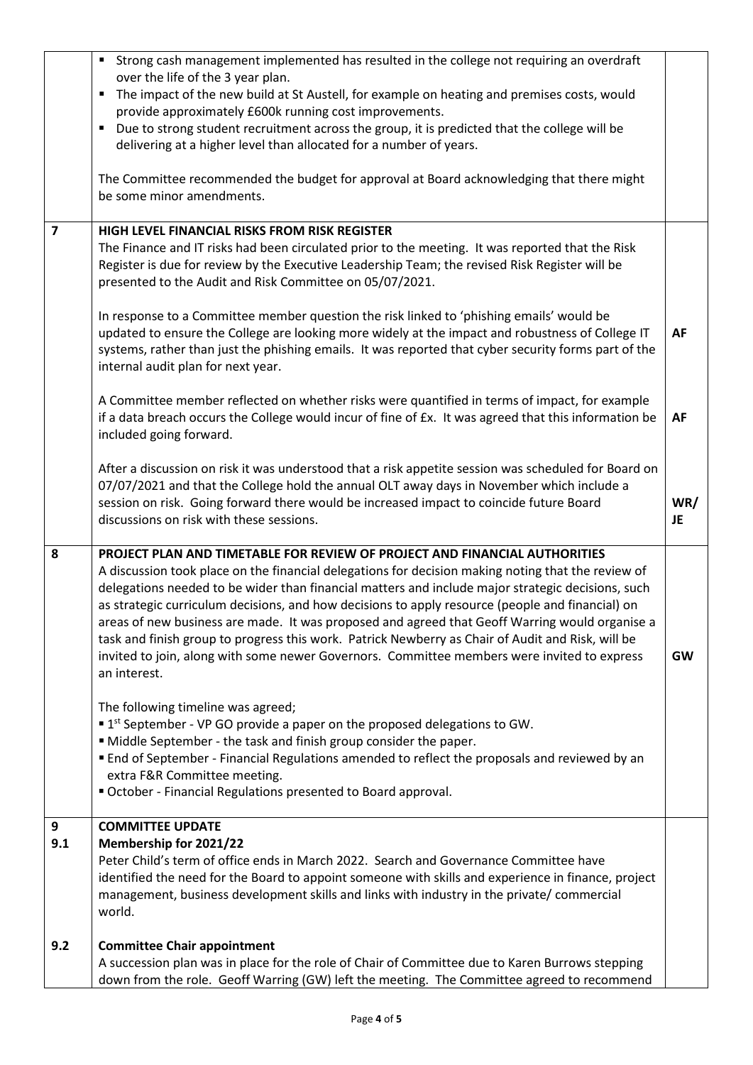|                         | Strong cash management implemented has resulted in the college not requiring an overdraft                                                                                                           |           |
|-------------------------|-----------------------------------------------------------------------------------------------------------------------------------------------------------------------------------------------------|-----------|
|                         | over the life of the 3 year plan.<br>٠                                                                                                                                                              |           |
|                         | The impact of the new build at St Austell, for example on heating and premises costs, would<br>provide approximately £600k running cost improvements.                                               |           |
|                         | Due to strong student recruitment across the group, it is predicted that the college will be<br>٠                                                                                                   |           |
|                         | delivering at a higher level than allocated for a number of years.                                                                                                                                  |           |
|                         |                                                                                                                                                                                                     |           |
|                         | The Committee recommended the budget for approval at Board acknowledging that there might                                                                                                           |           |
|                         | be some minor amendments.                                                                                                                                                                           |           |
| $\overline{\mathbf{z}}$ | HIGH LEVEL FINANCIAL RISKS FROM RISK REGISTER                                                                                                                                                       |           |
|                         | The Finance and IT risks had been circulated prior to the meeting. It was reported that the Risk                                                                                                    |           |
|                         | Register is due for review by the Executive Leadership Team; the revised Risk Register will be                                                                                                      |           |
|                         | presented to the Audit and Risk Committee on 05/07/2021.                                                                                                                                            |           |
|                         |                                                                                                                                                                                                     |           |
|                         | In response to a Committee member question the risk linked to 'phishing emails' would be                                                                                                            |           |
|                         | updated to ensure the College are looking more widely at the impact and robustness of College IT                                                                                                    | AF        |
|                         | systems, rather than just the phishing emails. It was reported that cyber security forms part of the<br>internal audit plan for next year.                                                          |           |
|                         |                                                                                                                                                                                                     |           |
|                         | A Committee member reflected on whether risks were quantified in terms of impact, for example                                                                                                       |           |
|                         | if a data breach occurs the College would incur of fine of £x. It was agreed that this information be                                                                                               | AF        |
|                         | included going forward.                                                                                                                                                                             |           |
|                         |                                                                                                                                                                                                     |           |
|                         | After a discussion on risk it was understood that a risk appetite session was scheduled for Board on                                                                                                |           |
|                         | 07/07/2021 and that the College hold the annual OLT away days in November which include a<br>session on risk. Going forward there would be increased impact to coincide future Board                | WR/       |
|                         | discussions on risk with these sessions.                                                                                                                                                            | JE        |
|                         |                                                                                                                                                                                                     |           |
| 8                       | PROJECT PLAN AND TIMETABLE FOR REVIEW OF PROJECT AND FINANCIAL AUTHORITIES                                                                                                                          |           |
|                         | A discussion took place on the financial delegations for decision making noting that the review of                                                                                                  |           |
|                         | delegations needed to be wider than financial matters and include major strategic decisions, such                                                                                                   |           |
|                         | as strategic curriculum decisions, and how decisions to apply resource (people and financial) on                                                                                                    |           |
|                         | areas of new business are made. It was proposed and agreed that Geoff Warring would organise a<br>task and finish group to progress this work. Patrick Newberry as Chair of Audit and Risk, will be |           |
|                         | invited to join, along with some newer Governors. Committee members were invited to express                                                                                                         | <b>GW</b> |
|                         | an interest.                                                                                                                                                                                        |           |
|                         |                                                                                                                                                                                                     |           |
|                         | The following timeline was agreed;                                                                                                                                                                  |           |
|                         | $\blacksquare$ 1 <sup>st</sup> September - VP GO provide a paper on the proposed delegations to GW.                                                                                                 |           |
|                         | " Middle September - the task and finish group consider the paper.                                                                                                                                  |           |
|                         | " End of September - Financial Regulations amended to reflect the proposals and reviewed by an<br>extra F&R Committee meeting.                                                                      |           |
|                         | October - Financial Regulations presented to Board approval.                                                                                                                                        |           |
|                         |                                                                                                                                                                                                     |           |
| 9                       |                                                                                                                                                                                                     |           |
|                         | <b>COMMITTEE UPDATE</b>                                                                                                                                                                             |           |
| 9.1                     | Membership for 2021/22                                                                                                                                                                              |           |
|                         | Peter Child's term of office ends in March 2022. Search and Governance Committee have                                                                                                               |           |
|                         | identified the need for the Board to appoint someone with skills and experience in finance, project                                                                                                 |           |
|                         | management, business development skills and links with industry in the private/ commercial                                                                                                          |           |
|                         | world.                                                                                                                                                                                              |           |
| 9.2                     | <b>Committee Chair appointment</b>                                                                                                                                                                  |           |
|                         | A succession plan was in place for the role of Chair of Committee due to Karen Burrows stepping                                                                                                     |           |